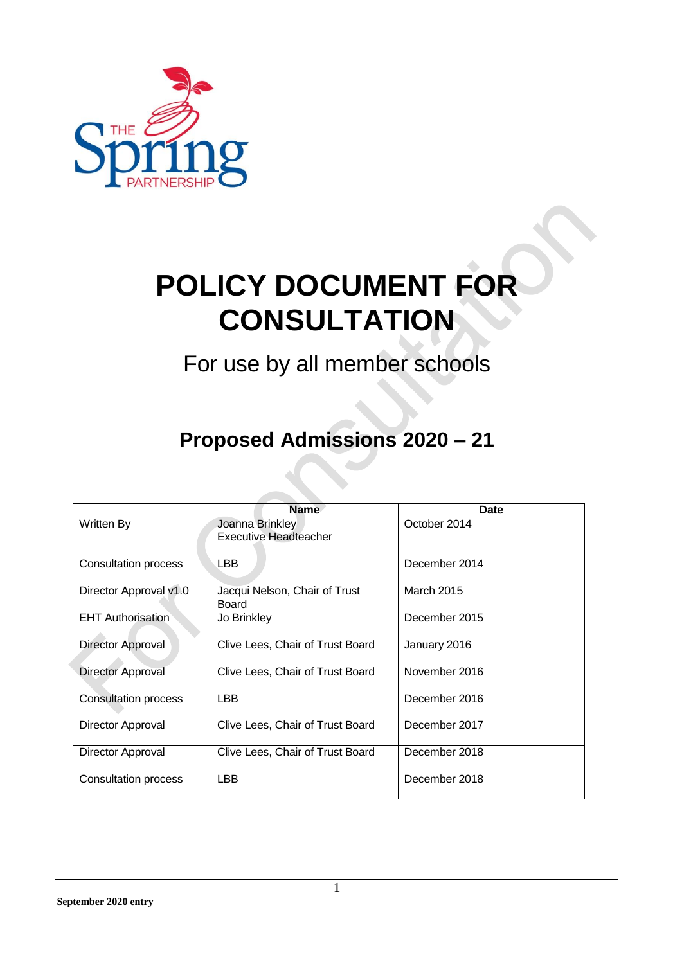

## **POLICY DOCUMENT FOR CONSULTATION**

For use by all member schools

## **Proposed Admissions 2020 – 21**

|                             | <b>Name</b>                                     | Date          |
|-----------------------------|-------------------------------------------------|---------------|
| Written By                  | Joanna Brinkley<br><b>Executive Headteacher</b> | October 2014  |
| <b>Consultation process</b> | LBB.                                            | December 2014 |
| Director Approval v1.0      | Jacqui Nelson, Chair of Trust<br>Board          | March 2015    |
| <b>EHT Authorisation</b>    | Jo Brinkley                                     | December 2015 |
| Director Approval           | Clive Lees, Chair of Trust Board                | January 2016  |
| <b>Director Approval</b>    | Clive Lees, Chair of Trust Board                | November 2016 |
| <b>Consultation process</b> | <b>LBB</b>                                      | December 2016 |
| Director Approval           | Clive Lees, Chair of Trust Board                | December 2017 |
| Director Approval           | Clive Lees, Chair of Trust Board                | December 2018 |
| Consultation process        | <b>LBB</b>                                      | December 2018 |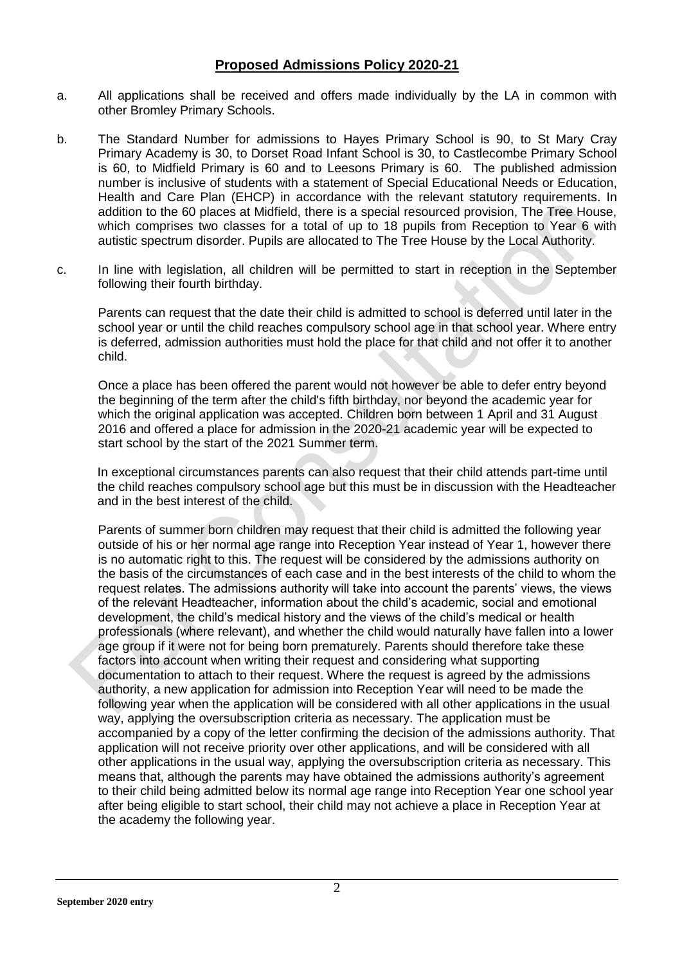## **Proposed Admissions Policy 2020-21**

- a. All applications shall be received and offers made individually by the LA in common with other Bromley Primary Schools.
- b. The Standard Number for admissions to Hayes Primary School is 90, to St Mary Cray Primary Academy is 30, to Dorset Road Infant School is 30, to Castlecombe Primary School is 60, to Midfield Primary is 60 and to Leesons Primary is 60. The published admission number is inclusive of students with a statement of Special Educational Needs or Education, Health and Care Plan (EHCP) in accordance with the relevant statutory requirements. In addition to the 60 places at Midfield, there is a special resourced provision, The Tree House, which comprises two classes for a total of up to 18 pupils from Reception to Year 6 with autistic spectrum disorder. Pupils are allocated to The Tree House by the Local Authority.
- c. In line with legislation, all children will be permitted to start in reception in the September following their fourth birthday.

Parents can request that the date their child is admitted to school is deferred until later in the school year or until the child reaches compulsory school age in that school year. Where entry is deferred, admission authorities must hold the place for that child and not offer it to another child.

Once a place has been offered the parent would not however be able to defer entry beyond the beginning of the term after the child's fifth birthday, nor beyond the academic year for which the original application was accepted. Children born between 1 April and 31 August 2016 and offered a place for admission in the 2020-21 academic year will be expected to start school by the start of the 2021 Summer term.

In exceptional circumstances parents can also request that their child attends part-time until the child reaches compulsory school age but this must be in discussion with the Headteacher and in the best interest of the child.

Parents of summer born children may request that their child is admitted the following year outside of his or her normal age range into Reception Year instead of Year 1, however there is no automatic right to this. The request will be considered by the admissions authority on the basis of the circumstances of each case and in the best interests of the child to whom the request relates. The admissions authority will take into account the parents' views, the views of the relevant Headteacher, information about the child's academic, social and emotional development, the child's medical history and the views of the child's medical or health professionals (where relevant), and whether the child would naturally have fallen into a lower age group if it were not for being born prematurely. Parents should therefore take these factors into account when writing their request and considering what supporting documentation to attach to their request. Where the request is agreed by the admissions authority, a new application for admission into Reception Year will need to be made the following year when the application will be considered with all other applications in the usual way, applying the oversubscription criteria as necessary. The application must be accompanied by a copy of the letter confirming the decision of the admissions authority. That application will not receive priority over other applications, and will be considered with all other applications in the usual way, applying the oversubscription criteria as necessary. This means that, although the parents may have obtained the admissions authority's agreement to their child being admitted below its normal age range into Reception Year one school year after being eligible to start school, their child may not achieve a place in Reception Year at the academy the following year.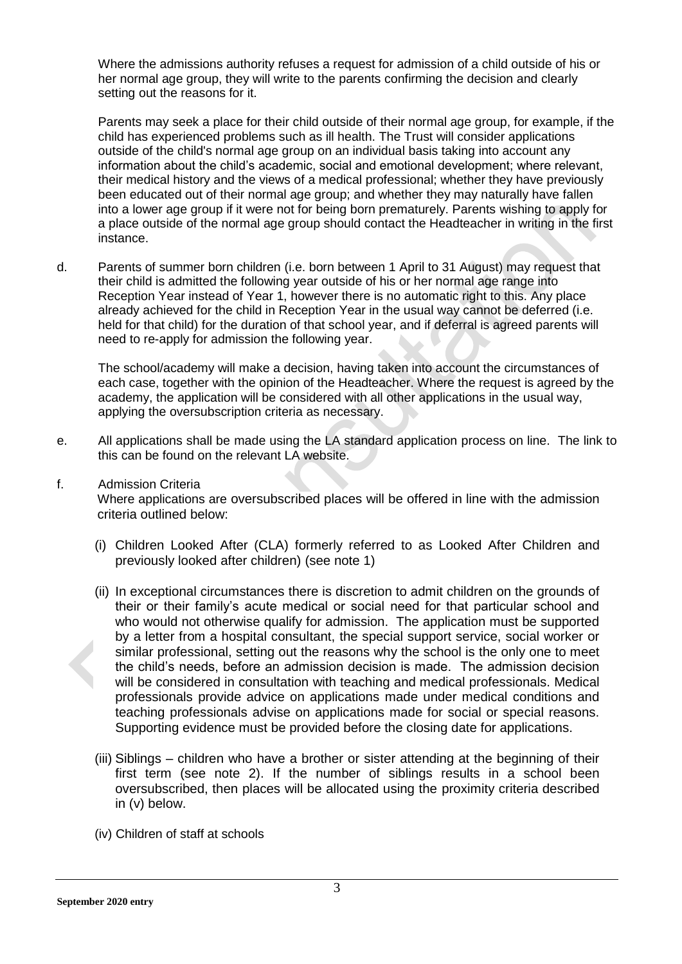Where the admissions authority refuses a request for admission of a child outside of his or her normal age group, they will write to the parents confirming the decision and clearly setting out the reasons for it.

Parents may seek a place for their child outside of their normal age group, for example, if the child has experienced problems such as ill health. The Trust will consider applications outside of the child's normal age group on an individual basis taking into account any information about the child's academic, social and emotional development; where relevant, their medical history and the views of a medical professional; whether they have previously been educated out of their normal age group; and whether they may naturally have fallen into a lower age group if it were not for being born prematurely. Parents wishing to apply for a place outside of the normal age group should contact the Headteacher in writing in the first instance.

d. Parents of summer born children (i.e. born between 1 April to 31 August) may request that their child is admitted the following year outside of his or her normal age range into Reception Year instead of Year 1, however there is no automatic right to this. Any place already achieved for the child in Reception Year in the usual way cannot be deferred (i.e. held for that child) for the duration of that school year, and if deferral is agreed parents will need to re-apply for admission the following year.

The school/academy will make a decision, having taken into account the circumstances of each case, together with the opinion of the Headteacher. Where the request is agreed by the academy, the application will be considered with all other applications in the usual way, applying the oversubscription criteria as necessary.

- e. All applications shall be made using the LA standard application process on line. The link to this can be found on the relevant LA website.
- f. Admission Criteria

Where applications are oversubscribed places will be offered in line with the admission criteria outlined below:

- (i) Children Looked After (CLA) formerly referred to as Looked After Children and previously looked after children) (see note 1)
- (ii) In exceptional circumstances there is discretion to admit children on the grounds of their or their family's acute medical or social need for that particular school and who would not otherwise qualify for admission. The application must be supported by a letter from a hospital consultant, the special support service, social worker or similar professional, setting out the reasons why the school is the only one to meet the child's needs, before an admission decision is made. The admission decision will be considered in consultation with teaching and medical professionals. Medical professionals provide advice on applications made under medical conditions and teaching professionals advise on applications made for social or special reasons. Supporting evidence must be provided before the closing date for applications.
- (iii) Siblings children who have a brother or sister attending at the beginning of their first term (see note 2). If the number of siblings results in a school been oversubscribed, then places will be allocated using the proximity criteria described in (v) below.
- (iv) Children of staff at schools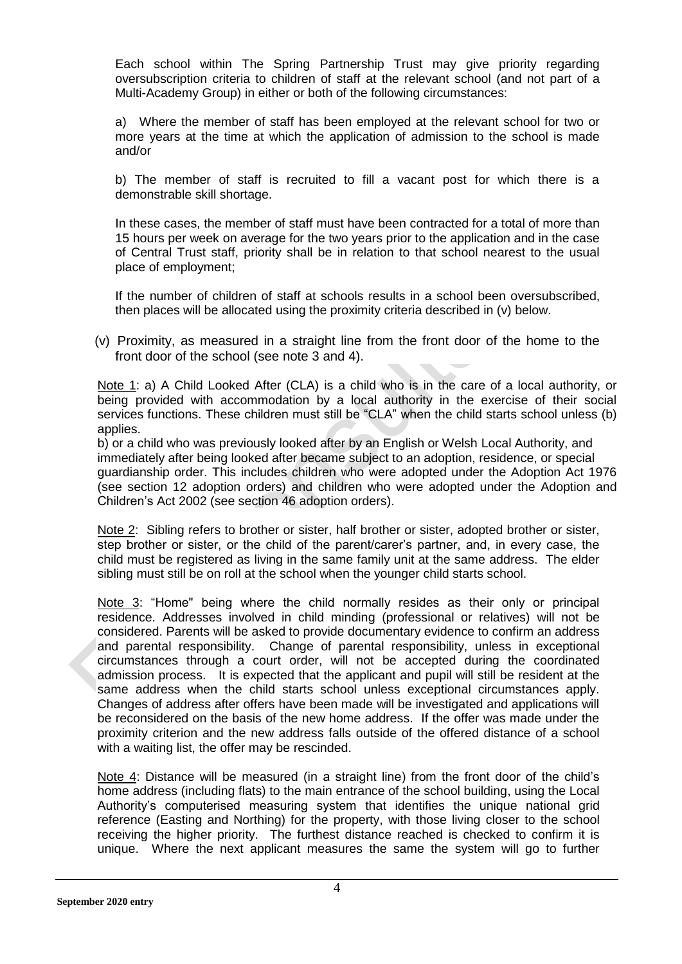Each school within The Spring Partnership Trust may give priority regarding oversubscription criteria to children of staff at the relevant school (and not part of a Multi-Academy Group) in either or both of the following circumstances:

a) Where the member of staff has been employed at the relevant school for two or more years at the time at which the application of admission to the school is made and/or

b) The member of staff is recruited to fill a vacant post for which there is a demonstrable skill shortage.

In these cases, the member of staff must have been contracted for a total of more than 15 hours per week on average for the two years prior to the application and in the case of Central Trust staff, priority shall be in relation to that school nearest to the usual place of employment;

If the number of children of staff at schools results in a school been oversubscribed, then places will be allocated using the proximity criteria described in (v) below.

(v) Proximity, as measured in a straight line from the front door of the home to the front door of the school (see note 3 and 4).

Note 1: a) A Child Looked After (CLA) is a child who is in the care of a local authority. or being provided with accommodation by a local authority in the exercise of their social services functions. These children must still be "CLA" when the child starts school unless (b) applies.

b) or a child who was previously looked after by an English or Welsh Local Authority, and immediately after being looked after became subject to an adoption, residence, or special guardianship order. This includes children who were adopted under the Adoption Act 1976 (see section 12 adoption orders) and children who were adopted under the Adoption and Children's Act 2002 (see section 46 adoption orders).

Note 2: Sibling refers to brother or sister, half brother or sister, adopted brother or sister, step brother or sister, or the child of the parent/carer's partner, and, in every case, the child must be registered as living in the same family unit at the same address. The elder sibling must still be on roll at the school when the younger child starts school.

Note 3: "Home" being where the child normally resides as their only or principal residence. Addresses involved in child minding (professional or relatives) will not be considered. Parents will be asked to provide documentary evidence to confirm an address and parental responsibility. Change of parental responsibility, unless in exceptional circumstances through a court order, will not be accepted during the coordinated admission process. It is expected that the applicant and pupil will still be resident at the same address when the child starts school unless exceptional circumstances apply. Changes of address after offers have been made will be investigated and applications will be reconsidered on the basis of the new home address. If the offer was made under the proximity criterion and the new address falls outside of the offered distance of a school with a waiting list, the offer may be rescinded.

Note 4: Distance will be measured (in a straight line) from the front door of the child's home address (including flats) to the main entrance of the school building, using the Local Authority's computerised measuring system that identifies the unique national grid reference (Easting and Northing) for the property, with those living closer to the school receiving the higher priority. The furthest distance reached is checked to confirm it is unique. Where the next applicant measures the same the system will go to further